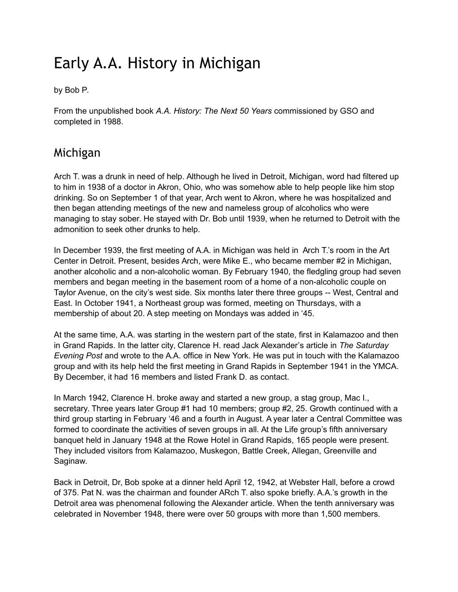## Early A.A. History in Michigan

by Bob P.

From the unpublished book *A.A. History: The Next 50 Years* commissioned by GSO and completed in 1988.

## Michigan

Arch T. was a drunk in need of help. Although he lived in Detroit, Michigan, word had filtered up to him in 1938 of a doctor in Akron, Ohio, who was somehow able to help people like him stop drinking. So on September 1 of that year, Arch went to Akron, where he was hospitalized and then began attending meetings of the new and nameless group of alcoholics who were managing to stay sober. He stayed with Dr. Bob until 1939, when he returned to Detroit with the admonition to seek other drunks to help.

In December 1939, the first meeting of A.A. in Michigan was held in Arch T.'s room in the Art Center in Detroit. Present, besides Arch, were Mike E., who became member #2 in Michigan, another alcoholic and a non-alcoholic woman. By February 1940, the fledgling group had seven members and began meeting in the basement room of a home of a non-alcoholic couple on Taylor Avenue, on the city's west side. Six months later there three groups -- West, Central and East. In October 1941, a Northeast group was formed, meeting on Thursdays, with a membership of about 20. A step meeting on Mondays was added in '45.

At the same time, A.A. was starting in the western part of the state, first in Kalamazoo and then in Grand Rapids. In the latter city, Clarence H. read Jack Alexander's article in *The Saturday Evening Post* and wrote to the A.A. office in New York. He was put in touch with the Kalamazoo group and with its help held the first meeting in Grand Rapids in September 1941 in the YMCA. By December, it had 16 members and listed Frank D. as contact.

In March 1942, Clarence H. broke away and started a new group, a stag group, Mac I., secretary. Three years later Group #1 had 10 members; group #2, 25. Growth continued with a third group starting in February '46 and a fourth in August. A year later a Central Committee was formed to coordinate the activities of seven groups in all. At the Life group's fifth anniversary banquet held in January 1948 at the Rowe Hotel in Grand Rapids, 165 people were present. They included visitors from Kalamazoo, Muskegon, Battle Creek, Allegan, Greenville and Saginaw.

Back in Detroit, Dr, Bob spoke at a dinner held April 12, 1942, at Webster Hall, before a crowd of 375. Pat N. was the chairman and founder ARch T. also spoke briefly. A.A.'s growth in the Detroit area was phenomenal following the Alexander article. When the tenth anniversary was celebrated in November 1948, there were over 50 groups with more than 1,500 members.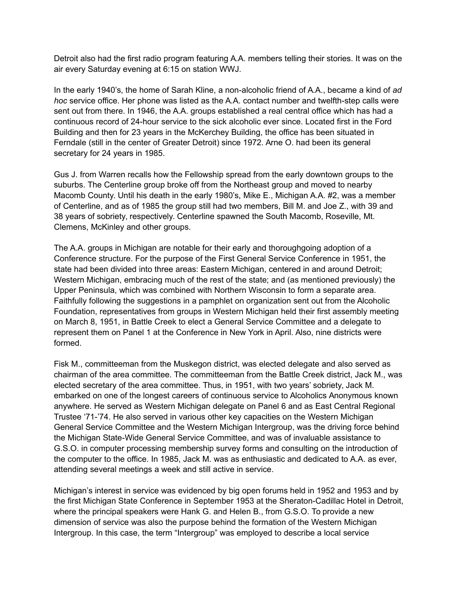Detroit also had the first radio program featuring A.A. members telling their stories. It was on the air every Saturday evening at 6:15 on station WWJ.

In the early 1940's, the home of Sarah Kline, a non-alcoholic friend of A.A., became a kind of *ad hoc* service office. Her phone was listed as the A.A. contact number and twelfth-step calls were sent out from there. In 1946, the A.A. groups established a real central office which has had a continuous record of 24-hour service to the sick alcoholic ever since. Located first in the Ford Building and then for 23 years in the McKerchey Building, the office has been situated in Ferndale (still in the center of Greater Detroit) since 1972. Arne O. had been its general secretary for 24 years in 1985.

Gus J. from Warren recalls how the Fellowship spread from the early downtown groups to the suburbs. The Centerline group broke off from the Northeast group and moved to nearby Macomb County. Until his death in the early 1980's, Mike E., Michigan A.A. #2, was a member of Centerline, and as of 1985 the group still had two members, Bill M. and Joe Z., with 39 and 38 years of sobriety, respectively. Centerline spawned the South Macomb, Roseville, Mt. Clemens, McKinley and other groups.

The A.A. groups in Michigan are notable for their early and thoroughgoing adoption of a Conference structure. For the purpose of the First General Service Conference in 1951, the state had been divided into three areas: Eastern Michigan, centered in and around Detroit; Western Michigan, embracing much of the rest of the state; and (as mentioned previously) the Upper Peninsula, which was combined with Northern Wisconsin to form a separate area. Faithfully following the suggestions in a pamphlet on organization sent out from the Alcoholic Foundation, representatives from groups in Western Michigan held their first assembly meeting on March 8, 1951, in Battle Creek to elect a General Service Committee and a delegate to represent them on Panel 1 at the Conference in New York in April. Also, nine districts were formed.

Fisk M., committeeman from the Muskegon district, was elected delegate and also served as chairman of the area committee. The committeeman from the Battle Creek district, Jack M., was elected secretary of the area committee. Thus, in 1951, with two years' sobriety, Jack M. embarked on one of the longest careers of continuous service to Alcoholics Anonymous known anywhere. He served as Western Michigan delegate on Panel 6 and as East Central Regional Trustee '71-'74. He also served in various other key capacities on the Western Michigan General Service Committee and the Western Michigan Intergroup, was the driving force behind the Michigan State-Wide General Service Committee, and was of invaluable assistance to G.S.O. in computer processing membership survey forms and consulting on the introduction of the computer to the office. In 1985, Jack M. was as enthusiastic and dedicated to A.A. as ever, attending several meetings a week and still active in service.

Michigan's interest in service was evidenced by big open forums held in 1952 and 1953 and by the first Michigan State Conference in September 1953 at the Sheraton-Cadillac Hotel in Detroit, where the principal speakers were Hank G. and Helen B., from G.S.O. To provide a new dimension of service was also the purpose behind the formation of the Western Michigan Intergroup. In this case, the term "Intergroup" was employed to describe a local service